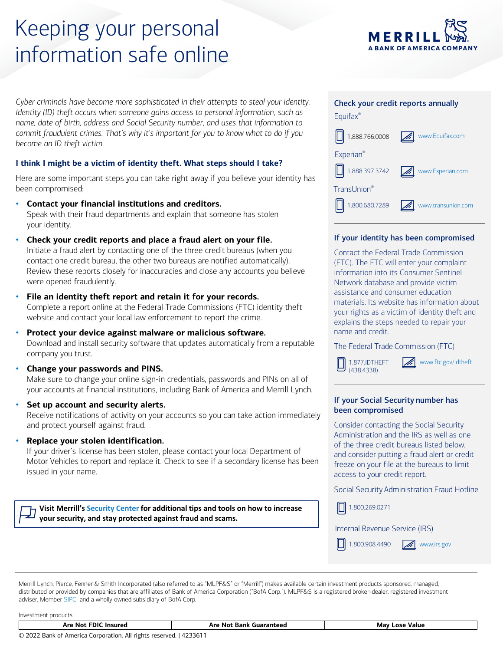# Keeping your personal information safe online

*Cyber criminals have become more sophisticated in their attempts to steal your identity. Identity (ID) theft occurs when someone gains access to personal information, such as name, date of birth, address and Social Security number, and uses that information to commit fraudulent crimes. That's why it's important for you to know what to do if you become an ID theft victim.*

# **I think I might be a victim of identity theft. What steps should I take?**

Here are some important steps you can take right away if you believe your identity has been compromised:

- **Contact your financial institutions and creditors.** Speak with their fraud departments and explain that someone has stolen your identity.
- **Check your credit reports and place a fraud alert on your file.** Initiate a fraud alert by contacting one of the three credit bureaus (when you contact one credit bureau, the other two bureaus are notified automatically). Review these reports closely for inaccuracies and close any accounts you believe were opened fraudulently.
- **File an identity theft report and retain it for your records.** Complete a report online at the Federal Trade Commissions (FTC) identity theft website and contact your local law enforcement to report the crime.
- **Protect your device against malware or malicious software.** Download and install security software that updates automatically from a reputable company you trust.
- **Change your passwords and PINS.** Make sure to change your online sign-in credentials, passwords and PINs on all of your accounts at financial institutions, including Bank of America and Merrill Lynch.
- **Set up account and security alerts.** Receive notifications of activity on your accounts so you can take action immediately and protect yourself against fraud.
- **Replace your stolen identification.**

If your driver's license has been stolen, please contact your local Department of Motor Vehicles to report and replace it. Check to see if a secondary license has been issued in your name.

**Visit Merrill's [Security Center](http://www.ml.com/securitycenter) for additional tips and tools on how to increase your security, and stay protected against fraud and scams.**



**ANK OF AMERICA COMPANY** 

# If your identity has been compromised

Contact the Federal Trade Commission (FTC). The FTC will enter your complaint information into its Consumer Sentinel Network database and provide victim assistance and consumer education materials. Its website has information about your rights as a victim of identity theft and explains the steps needed to repair your name and credit.

 $\mathscr{A}$ 

The Federal Trade Commission (FTC)

1.877.IDTHEFT (438.4338)

[www.ftc.gov/idtheft](http://www.ftc.gov/idtheft)

# If your Social Security number has been compromised

Consider contacting the Social Security Administration and the IRS as well as one of the three credit bureaus listed below, and consider putting a fraud alert or credit freeze on your file at the bureaus to limit access to your credit report.

Social Security Administration Fraud Hotline

1.800.269.0271

Internal Revenue Service (IRS)

 $\Box$ 1.800.908.4490 **WWW.irs.gov** 

Merrill Lynch, Pierce, Fenner & Smith Incorporated (also referred to as "MLPF&S" or "Merrill") makes available certain investment products sponsored, managed, distributed or provided by companies that are affiliates of Bank of America Corporation ("BofA Corp."). MLPF&S is a registered broker-dealer, registered investment adviser, Member [SIPC](https://www.sipc.org/) and a wholly owned subsidiary of BofA Corp.

Investment products:

| ות<br>Are Not<br>Insurea | n re<br>NΩ<br>$\ddot{\phantom{a}}$<br>wuarante<br>⊀ank<br>. | Value<br>Mav<br>-os |
|--------------------------|-------------------------------------------------------------|---------------------|
|                          |                                                             |                     |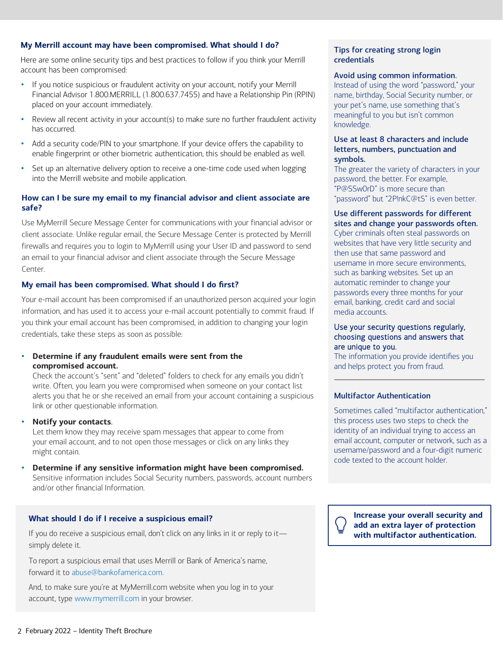## **My Merrill account may have been compromised. What should I do?**

Here are some online security tips and best practices to follow if you think your Merrill account has been compromised:

- If you notice suspicious or fraudulent activity on your account, notify your Merrill Financial Advisor 1.800.MERRILL (1.800.637.7455) and have a Relationship Pin (RPIN) placed on your account immediately.
- Review all recent activity in your account(s) to make sure no further fraudulent activity has occurred.
- Add a security code/PIN to your smartphone. If your device offers the capability to enable fingerprint or other biometric authentication, this should be enabled as well.
- Set up an alternative delivery option to receive a one-time code used when logging into the Merrill website and mobile application.

# **How can I be sure my email to my financial advisor and client associate are safe?**

Use MyMerrill Secure Message Center for communications with your financial advisor or client associate. Unlike regular email, the Secure Message Center is protected by Merrill firewalls and requires you to login to MyMerrill using your User ID and password to send an email to your financial advisor and client associate through the Secure Message Center.

## **My email has been compromised. What should I do first?**

Your e-mail account has been compromised if an unauthorized person acquired your login information, and has used it to access your e-mail account potentially to commit fraud. If you think your email account has been compromised, in addition to changing your login credentials, take these steps as soon as possible:

## • **Determine if any fraudulent emails were sent from the compromised account.**

Check the account's "sent" and "deleted" folders to check for any emails you didn't write. Often, you learn you were compromised when someone on your contact list alerts you that he or she received an email from your account containing a suspicious link or other questionable information.

• **Notify your contacts**.

Let them know they may receive spam messages that appear to come from your email account, and to not open those messages or click on any links they might contain.

• **Determine if any sensitive information might have been compromised.** Sensitive information includes Social Security numbers, passwords, account numbers and/or other financial Information.

#### **What should I do if I receive a suspicious email?**

If you do receive a suspicious email, don't click on any links in it or reply to it simply delete it.

To report a suspicious email that uses Merrill or Bank of America's name, forward it to [abuse@bankofamerica.com.](mailto:Seminarcentral@bofa.com)

And, to make sure you're at MyMerrill.com website when you log in to your account, type [www.mymerrill.com](http://www.mymerrill.com/) in your browser.

#### Tips for creating strong login credentials

#### Avoid using common information.

Instead of using the word "password," your name, birthday, Social Security number, or your pet's name, use something that's meaningful to you but isn't common knowledge.

## Use at least 8 characters and include letters, numbers, punctuation and symbols.

The greater the variety of characters in your password, the better. For example, "P@SSw0rD" is more secure than "password" but "2P!nkC@tS" is even better.

#### Use different passwords for different sites and change your passwords often.

Cyber criminals often steal passwords on websites that have very little security and then use that same password and username in more secure environments, such as banking websites. Set up an automatic reminder to change your passwords every three months for your email, banking, credit card and social media accounts.

#### Use your security questions regularly, choosing questions and answers that are unique to you.

The information you provide identifies you and helps protect you from fraud.

#### Multifactor Authentication

Sometimes called "multifactor authentication," this process uses two steps to check the identity of an individual trying to access an email account, computer or network, such as a username/password and a four-digit numeric code texted to the account holder.

**Increase your overall security and add an extra layer of protection with multifactor authentication.**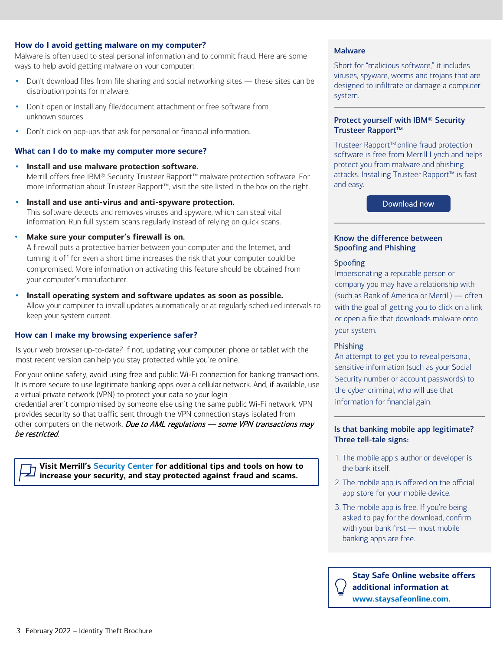## **How do I avoid getting malware on my computer?**

Malware is often used to steal personal information and to commit fraud. Here are some ways to help avoid getting malware on your computer:

- Don't download files from file sharing and social networking sites these sites can be distribution points for malware.
- Don't open or install any file/document attachment or free software from unknown sources.
- Don't click on pop-ups that ask for personal or financial information.

## **What can I do to make my computer more secure?**

- **Install and use malware protection software.** Merrill offers free IBM® Security Trusteer Rapport™ malware protection software. For more information about Trusteer Rapport™, visit the site listed in the box on the right.
- **Install and use anti-virus and anti-spyware protection.** This software detects and removes viruses and spyware, which can steal vital information. Run full system scans regularly instead of relying on quick scans.
- **Make sure your computer's firewall is on.**

A firewall puts a protective barrier between your computer and the Internet, and turning it off for even a short time increases the risk that your computer could be compromised. More information on activating this feature should be obtained from your computer's manufacturer.

• **Install operating system and software updates as soon as possible.**

Allow your computer to install updates automatically or at regularly scheduled intervals to keep your system current.

# **How can I make my browsing experience safer?**

Is your web browser up-to-date? If not, updating your computer, phone or tablet with the most recent version can help you stay protected while you're online.

For your online safety, avoid using free and public Wi-Fi connection for banking transactions. It is more secure to use legitimate banking apps over a cellular network. And, if available, use a virtual private network (VPN) to protect your data so your login credential aren't compromised by someone else using the same public Wi-Fi network. VPN provides security so that traffic sent through the VPN connection stays isolated from other computers on the network. Due to AML regulations - some VPN transactions may be restricted.

**Visit Merrill's [Security Center](http://www.ml.com/securitycenter) for additional tips and tools on how to increase your security, and stay protected against fraud and scams.**

# Malware

Short for "malicious software," it includes viruses, spyware, worms and trojans that are designed to infiltrate or damage a computer system.

# Protect yourself with IBM® Security Trusteer Rapport™

Trusteer Rapport<sup>™</sup> online fraud protection software is free from Merrill Lynch and helps protect you from malware and phishing attacks. Installing Trusteer Rapport™ is fast and easy.

[Download now](https://www.ibm.com/security/trusteer/%20landing-page/merrilllynch/)

#### Know the difference between Spoofing and Phishing

## Spoofing

Impersonating a reputable person or company you may have a relationship with (such as Bank of America or Merrill) — often with the goal of getting you to click on a link or open a file that downloads malware onto your system.

# Phishing

An attempt to get you to reveal personal, sensitive information (such as your Social Security number or account passwords) to the cyber criminal, who will use that information for financial gain.

## Is that banking mobile app legitimate? Three tell-tale signs:

- 1. The mobile app's author or developer is the bank itself.
- 2. The mobile app is offered on the official app store for your mobile device.
- 3. The mobile app is free. If you're being asked to pay for the download, confirm with your bank first — most mobile banking apps are free.